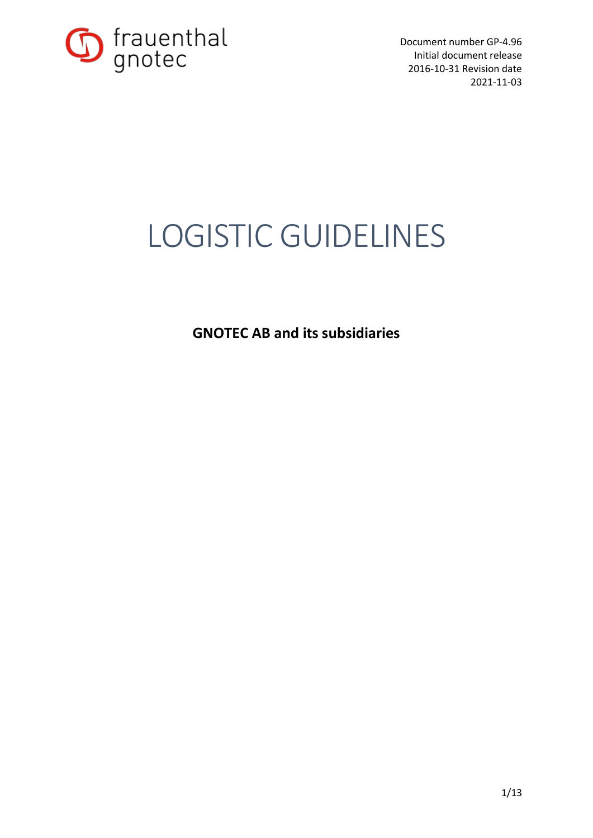

# LOGISTIC GUIDELINES

**GNOTEC AB and its subsidiaries**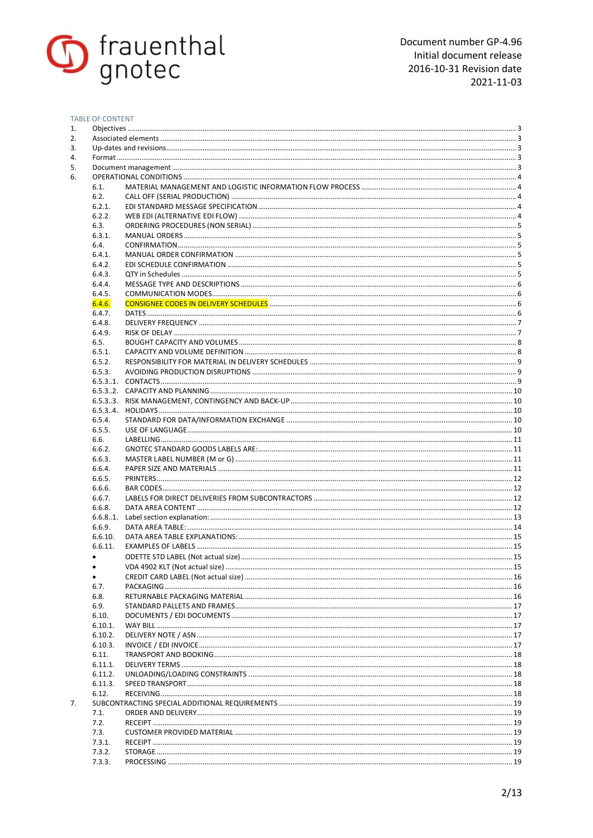

#### TABLE OF CONTENT

| 6.1.    |  |
|---------|--|
| 6.2.    |  |
| 6.2.1.  |  |
| 6.2.2.  |  |
| 6.3.    |  |
| 6.3.1.  |  |
| 6.4.    |  |
|         |  |
| 6.4.1.  |  |
| 6.4.2.  |  |
| 6.4.3.  |  |
| 6.4.4.  |  |
| 6.4.5.  |  |
| 6.4.6.  |  |
| 6.4.7.  |  |
| 6.4.8.  |  |
| 6.4.9.  |  |
| 6.5.    |  |
| 6.5.1.  |  |
| 6.5.2.  |  |
|         |  |
| 6.5.3.  |  |
|         |  |
|         |  |
|         |  |
|         |  |
| 6.5.4.  |  |
| 6.5.5.  |  |
| 6.6.    |  |
| 6.6.2.  |  |
| 6.6.3.  |  |
| 6.6.4.  |  |
| 6.6.5.  |  |
| 6.6.6.  |  |
| 6.6.7.  |  |
|         |  |
| 6.6.8.  |  |
|         |  |
| 6.6.9.  |  |
| 6.6.10. |  |
| 6.6.11. |  |
|         |  |
|         |  |
|         |  |
| 6.7.    |  |
| 6.8.    |  |
| 6.9.    |  |
|         |  |
| 6.10.   |  |
| 6.10.1. |  |
| 6.10.2. |  |
| 6.10.3. |  |
| 6.11.   |  |
| 6.11.1. |  |
| 6.11.2. |  |
| 6.11.3. |  |
| 6.12.   |  |
|         |  |
| 7.1.    |  |
|         |  |
| 7.2.    |  |
| 7.3.    |  |
| 7.3.1.  |  |
| 7.3.2.  |  |
| 7.3.3.  |  |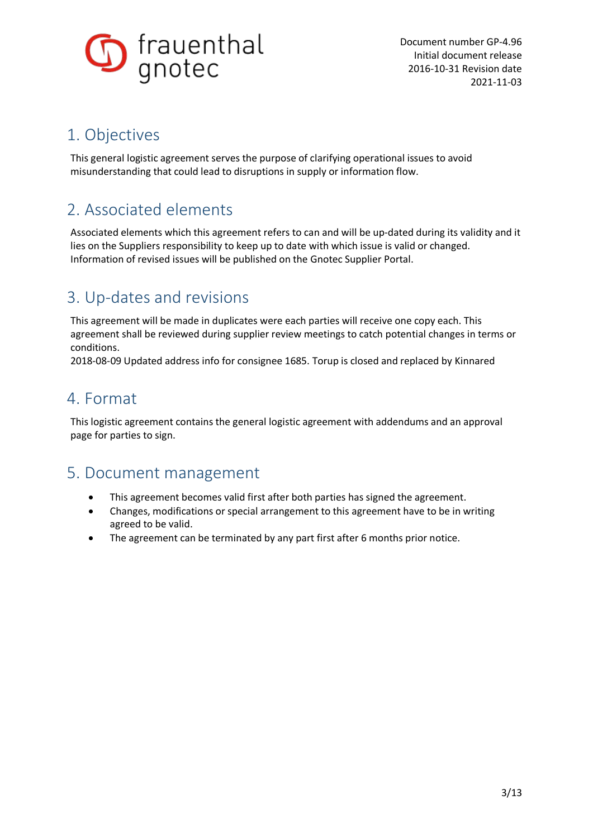

# 1. Objectives

This general logistic agreement serves the purpose of clarifying operational issues to avoid misunderstanding that could lead to disruptions in supply or information flow.

# 2. Associated elements

Associated elements which this agreement refers to can and will be up-dated during its validity and it lies on the Suppliers responsibility to keep up to date with which issue is valid or changed. Information of revised issues will be published on the Gnotec Supplier Portal.

# 3. Up-dates and revisions

This agreement will be made in duplicates were each parties will receive one copy each. This agreement shall be reviewed during supplier review meetings to catch potential changes in terms or conditions.

2018-08-09 Updated address info for consignee 1685. Torup is closed and replaced by Kinnared

# 4. Format

This logistic agreement contains the general logistic agreement with addendums and an approval page for parties to sign.

# 5. Document management

- This agreement becomes valid first after both parties has signed the agreement.
- · Changes, modifications or special arrangement to this agreement have to be in writing agreed to be valid.
- · The agreement can be terminated by any part first after 6 months prior notice.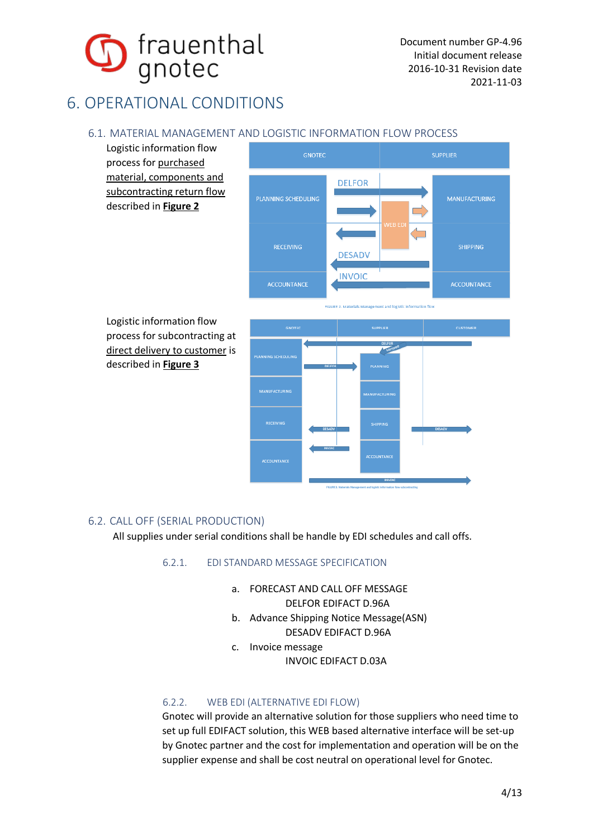

# 6. OPERATIONAL CONDITIONS

# 6.1. MATERIAL MANAGEMENT AND LOGISTIC INFORMATION FLOW PROCESS

Logistic information flow process for purchased material, components and subcontracting return flow described in **Figure 2**



Logistic information flow process for subcontracting at direct delivery to customer is described in **Figure 3** 



# 6.2. CALL OFF (SERIAL PRODUCTION)

All supplies under serial conditions shall be handle by EDI schedules and call offs.

# 6.2.1. EDI STANDARD MESSAGE SPECIFICATION

a. FORECAST AND CALL OFF MESSAGE

DELFOR EDIFACT D.96A

- b. Advance Shipping Notice Message(ASN) DESADV EDIFACT D.96A
- c. Invoice message INVOIC EDIFACT D.03A

# 6.2.2. WEB EDI (ALTERNATIVE EDI FLOW)

Gnotec will provide an alternative solution for those suppliers who need time to set up full EDIFACT solution, this WEB based alternative interface will be set-up by Gnotec partner and the cost for implementation and operation will be on the supplier expense and shall be cost neutral on operational level for Gnotec.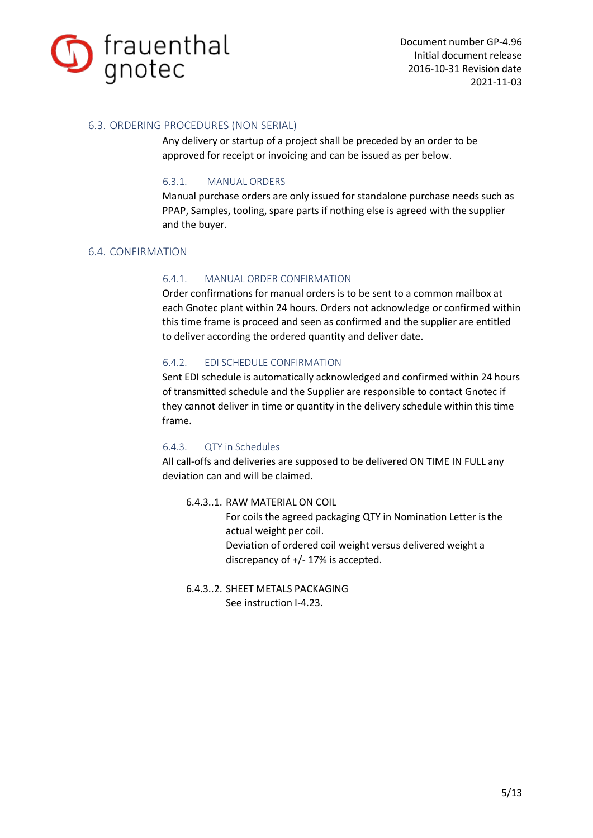

# 6.3. ORDERING PROCEDURES (NON SERIAL)

Any delivery or startup of a project shall be preceded by an order to be approved for receipt or invoicing and can be issued as per below.

#### 6.3.1. MANUAL ORDERS

Manual purchase orders are only issued for standalone purchase needs such as PPAP, Samples, tooling, spare parts if nothing else is agreed with the supplier and the buyer.

# 6.4. CONFIRMATION

# 6.4.1. MANUAL ORDER CONFIRMATION

Order confirmations for manual orders is to be sent to a common mailbox at each Gnotec plant within 24 hours. Orders not acknowledge or confirmed within this time frame is proceed and seen as confirmed and the supplier are entitled to deliver according the ordered quantity and deliver date.

# 6.4.2. EDI SCHEDULE CONFIRMATION

Sent EDI schedule is automatically acknowledged and confirmed within 24 hours of transmitted schedule and the Supplier are responsible to contact Gnotec if they cannot deliver in time or quantity in the delivery schedule within this time frame.

# 6.4.3. QTY in Schedules

All call-offs and deliveries are supposed to be delivered ON TIME IN FULL any deviation can and will be claimed.

6.4.3..1. RAW MATERIAL ON COIL

For coils the agreed packaging QTY in Nomination Letter is the actual weight per coil. Deviation of ordered coil weight versus delivered weight a discrepancy of +/- 17% is accepted.

6.4.3..2. SHEET METALS PACKAGING See instruction I-4.23.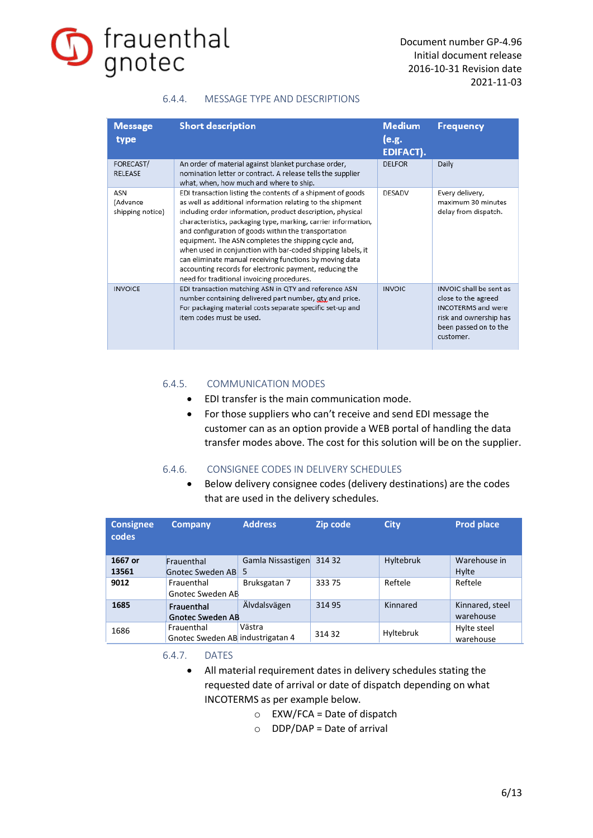

# 6.4.4. MESSAGE TYPE AND DESCRIPTIONS

| <b>Message</b><br>type              | <b>Short description</b>                                                                                                                                                                                                                                                                                                                                                                                                                                                                                                                                                                                     | <b>Medium</b><br>(e.g.<br><b>EDIFACT).</b> | <b>Frequency</b>                                                                                                                            |
|-------------------------------------|--------------------------------------------------------------------------------------------------------------------------------------------------------------------------------------------------------------------------------------------------------------------------------------------------------------------------------------------------------------------------------------------------------------------------------------------------------------------------------------------------------------------------------------------------------------------------------------------------------------|--------------------------------------------|---------------------------------------------------------------------------------------------------------------------------------------------|
| FORECAST/<br><b>RELEASE</b>         | An order of material against blanket purchase order,<br>nomination letter or contract. A release tells the supplier<br>what, when, how much and where to ship.                                                                                                                                                                                                                                                                                                                                                                                                                                               | <b>DELFOR</b>                              | Daily                                                                                                                                       |
| ASN<br>(Advance<br>shipping notice) | EDI transaction listing the contents of a shipment of goods<br>as well as additional information relating to the shipment<br>including order information, product description, physical<br>characteristics, packaging type, marking, carrier information,<br>and configuration of goods within the transportation<br>equipment. The ASN completes the shipping cycle and,<br>when used in conjunction with bar-coded shipping labels, it<br>can eliminate manual receiving functions by moving data<br>accounting records for electronic payment, reducing the<br>need for traditional invoicing procedures. | <b>DESADV</b>                              | Every delivery,<br>maximum 30 minutes<br>delay from dispatch.                                                                               |
| <b>INVOICE</b>                      | EDI transaction matching ASN in QTY and reference ASN<br>number containing delivered part number, gty and price.<br>For packaging material costs separate specific set-up and<br>item codes must be used.                                                                                                                                                                                                                                                                                                                                                                                                    | <b>INVOIC</b>                              | INVOIC shall be sent as<br>close to the agreed<br><b>INCOTERMS</b> and were<br>risk and ownership has<br>been passed on to the<br>customer. |

#### 6.4.5. COMMUNICATION MODES

- · EDI transfer is the main communication mode.
- · For those suppliers who can't receive and send EDI message the customer can as an option provide a WEB portal of handling the data transfer modes above. The cost for this solution will be on the supplier.

# 6.4.6. CONSIGNEE CODES IN DELIVERY SCHEDULES

· Below delivery consignee codes (delivery destinations) are the codes that are used in the delivery schedules.

| <b>Consignee</b><br>codes | <b>Company</b>                   | <b>Address</b>    | Zip code | <b>City</b> | <b>Prod place</b> |
|---------------------------|----------------------------------|-------------------|----------|-------------|-------------------|
| 1667 or                   | Frauenthal                       | Gamla Nissastigen | 314 32   | Hyltebruk   | Warehouse in      |
| 13561                     | Gnotec Sweden AB                 |                   |          |             | Hylte             |
| 9012                      | Frauenthal                       | Bruksgatan 7      | 33375    | Reftele     | Reftele           |
|                           | Gnotec Sweden AB                 |                   |          |             |                   |
| 1685                      | Frauenthal                       | Älvdalsvägen      | 314 95   | Kinnared    | Kinnared, steel   |
|                           | <b>Gnotec Sweden AB</b>          |                   |          |             | warehouse         |
| 1686                      | Frauenthal                       | Västra            |          | Hyltebruk   | Hylte steel       |
|                           | Gnotec Sweden AB industrigatan 4 |                   | 314 32   |             | warehouse         |

6.4.7. DATES

- · All material requirement dates in delivery schedules stating the requested date of arrival or date of dispatch depending on what INCOTERMS as per example below.
	- $\circ$  EXW/FCA = Date of dispatch
	- $O$  DDP/DAP = Date of arrival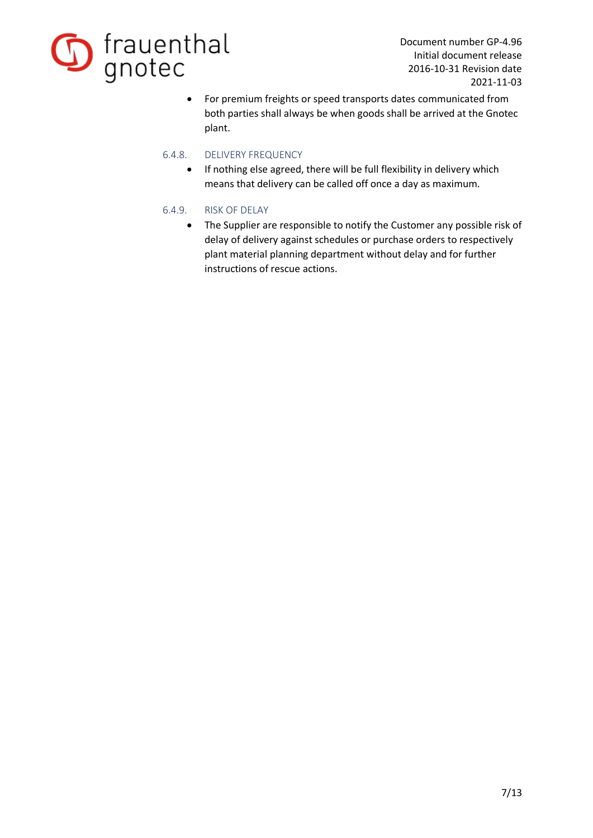

· For premium freights or speed transports dates communicated from both parties shall always be when goods shall be arrived at the Gnotec plant.

# 6.4.8. DELIVERY FREQUENCY

· If nothing else agreed, there will be full flexibility in delivery which means that delivery can be called off once a day as maximum.

# 6.4.9. RISK OF DELAY

· The Supplier are responsible to notify the Customer any possible risk of delay of delivery against schedules or purchase orders to respectively plant material planning department without delay and for further instructions of rescue actions.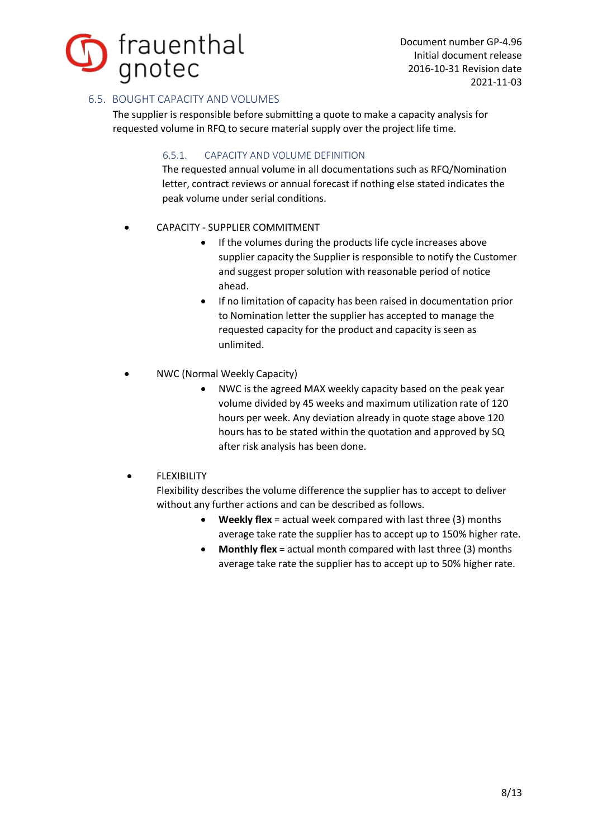

# 6.5. BOUGHT CAPACITY AND VOLUMES

The supplier is responsible before submitting a quote to make a capacity analysis for requested volume in RFQ to secure material supply over the project life time.

# 6.5.1. CAPACITY AND VOLUME DEFINITION

The requested annual volume in all documentations such as RFQ/Nomination letter, contract reviews or annual forecast if nothing else stated indicates the peak volume under serial conditions.

- CAPACITY SUPPLIER COMMITMENT
	- · If the volumes during the products life cycle increases above supplier capacity the Supplier is responsible to notify the Customer and suggest proper solution with reasonable period of notice ahead.
	- · If no limitation of capacity has been raised in documentation prior to Nomination letter the supplier has accepted to manage the requested capacity for the product and capacity is seen as unlimited.
- NWC (Normal Weekly Capacity)
	- NWC is the agreed MAX weekly capacity based on the peak year volume divided by 45 weeks and maximum utilization rate of 120 hours per week. Any deviation already in quote stage above 120 hours has to be stated within the quotation and approved by SQ after risk analysis has been done.

# **FLEXIBILITY**

Flexibility describes the volume difference the supplier has to accept to deliver without any further actions and can be described as follows.

- · **Weekly flex** = actual week compared with last three (3) months average take rate the supplier has to accept up to 150% higher rate.
- · **Monthly flex** = actual month compared with last three (3) months average take rate the supplier has to accept up to 50% higher rate.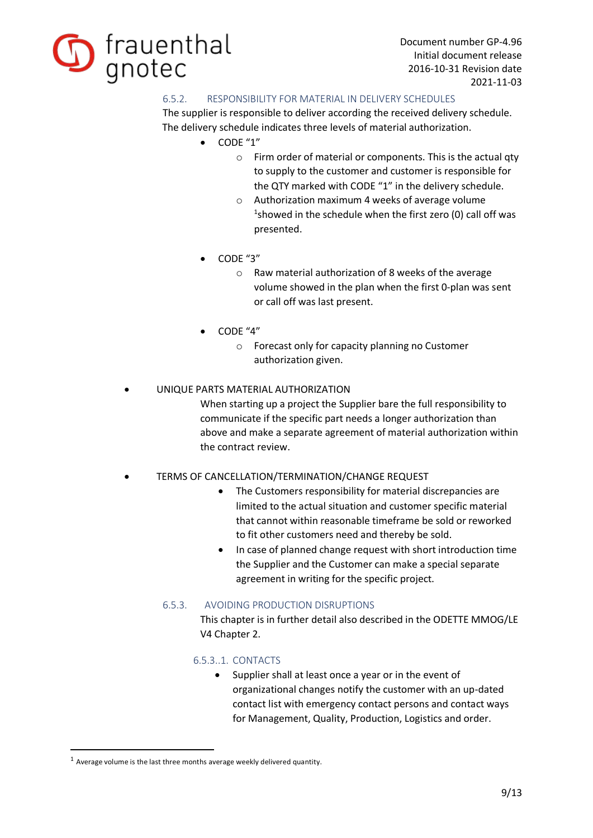

# 6.5.2. RESPONSIBILITY FOR MATERIAL IN DELIVERY SCHEDULES

The supplier is responsible to deliver according the received delivery schedule. The delivery schedule indicates three levels of material authorization.

- · CODE "1"
	- o Firm order of material or components. This is the actual qty to supply to the customer and customer is responsible for the QTY marked with CODE "1" in the delivery schedule.
	- o Authorization maximum 4 weeks of average volume  $1$ showed in the schedule when the first zero (0) call off was presented.
- · CODE "3"
	- o Raw material authorization of 8 weeks of the average volume showed in the plan when the first 0-plan was sent or call off was last present.
- $\bullet$  CODF "4"
	- o Forecast only for capacity planning no Customer authorization given.

# UNIQUE PARTS MATERIAL AUTHORIZATION

When starting up a project the Supplier bare the full responsibility to communicate if the specific part needs a longer authorization than above and make a separate agreement of material authorization within the contract review.

# TERMS OF CANCELLATION/TERMINATION/CHANGE REQUEST

- The Customers responsibility for material discrepancies are limited to the actual situation and customer specific material that cannot within reasonable timeframe be sold or reworked to fit other customers need and thereby be sold.
- · In case of planned change request with short introduction time the Supplier and the Customer can make a special separate agreement in writing for the specific project.

# 6.5.3. AVOIDING PRODUCTION DISRUPTIONS

This chapter is in further detail also described in the ODETTE MMOG/LE V4 Chapter 2.

# 6.5.3..1. CONTACTS

· Supplier shall at least once a year or in the event of organizational changes notify the customer with an up-dated contact list with emergency contact persons and contact ways for Management, Quality, Production, Logistics and order.

 $1$  Average volume is the last three months average weekly delivered quantity.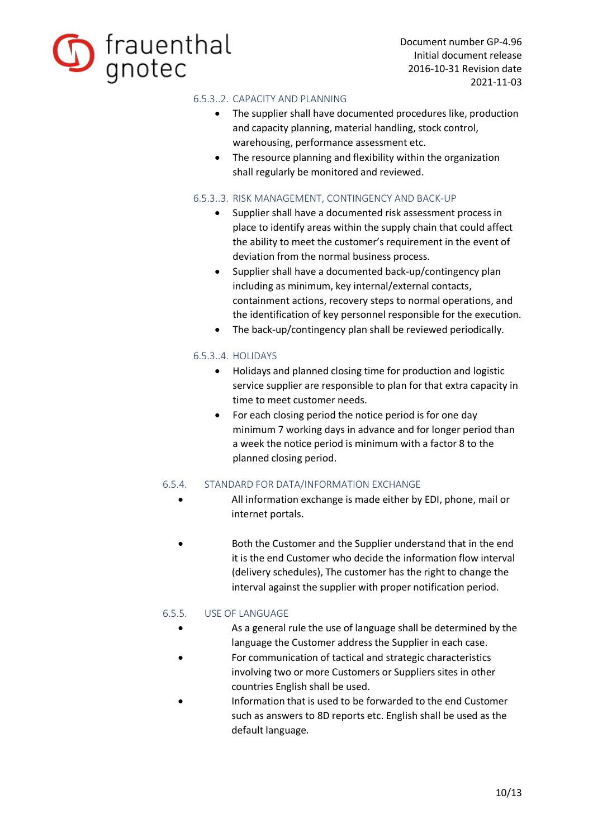

# 6.5.3..2. CAPACITY AND PLANNING

- · The supplier shall have documented procedures like, production and capacity planning, material handling, stock control, warehousing, performance assessment etc.
- · The resource planning and flexibility within the organization shall regularly be monitored and reviewed.

# 6.5.3..3. RISK MANAGEMENT, CONTINGENCY AND BACK-UP

- · Supplier shall have a documented risk assessment process in place to identify areas within the supply chain that could affect the ability to meet the customer's requirement in the event of deviation from the normal business process.
- · Supplier shall have a documented back-up/contingency plan including as minimum, key internal/external contacts, containment actions, recovery steps to normal operations, and the identification of key personnel responsible for the execution.
- · The back-up/contingency plan shall be reviewed periodically.

# 6.5.3..4. HOLIDAYS

- · Holidays and planned closing time for production and logistic service supplier are responsible to plan for that extra capacity in time to meet customer needs.
- · For each closing period the notice period is for one day minimum 7 working days in advance and for longer period than a week the notice period is minimum with a factor 8 to the planned closing period.

# 6.5.4. STANDARD FOR DATA/INFORMATION EXCHANGE

- All information exchange is made either by EDI, phone, mail or internet portals.
- Both the Customer and the Supplier understand that in the end it is the end Customer who decide the information flow interval (delivery schedules), The customer has the right to change the interval against the supplier with proper notification period.

# 6.5.5. USE OF LANGUAGE

- · As a general rule the use of language shall be determined by the language the Customer address the Supplier in each case.
- For communication of tactical and strategic characteristics involving two or more Customers or Suppliers sites in other countries English shall be used.
- Information that is used to be forwarded to the end Customer such as answers to 8D reports etc. English shall be used as the default language.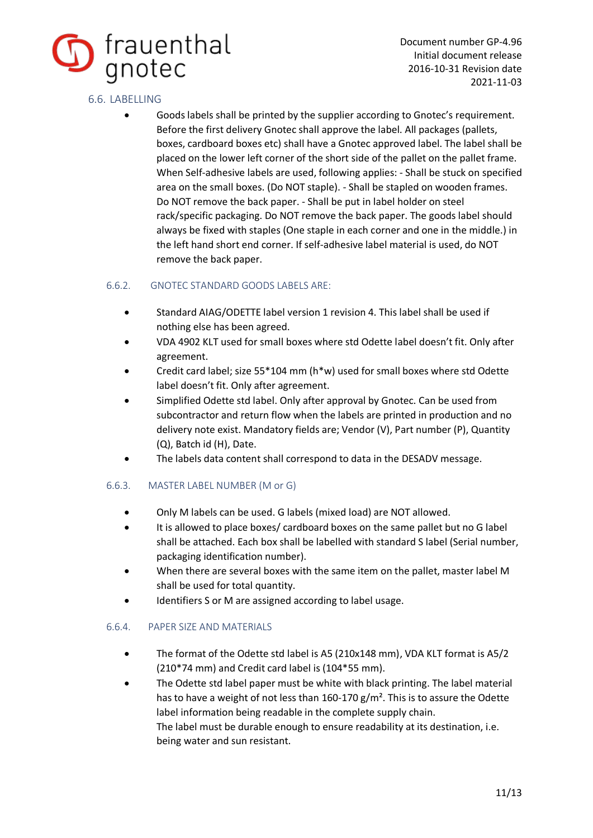

# 6.6. LABELLING

· Goods labels shall be printed by the supplier according to Gnotec's requirement. Before the first delivery Gnotec shall approve the label. All packages (pallets, boxes, cardboard boxes etc) shall have a Gnotec approved label. The label shall be placed on the lower left corner of the short side of the pallet on the pallet frame. When Self-adhesive labels are used, following applies: - Shall be stuck on specified area on the small boxes. (Do NOT staple). - Shall be stapled on wooden frames. Do NOT remove the back paper. - Shall be put in label holder on steel rack/specific packaging. Do NOT remove the back paper. The goods label should always be fixed with staples (One staple in each corner and one in the middle.) in the left hand short end corner. If self-adhesive label material is used, do NOT remove the back paper.

# 6.6.2. GNOTEC STANDARD GOODS LABELS ARE:

- · Standard AIAG/ODETTE label version 1 revision 4. This label shall be used if nothing else has been agreed.
- · VDA 4902 KLT used for small boxes where std Odette label doesn't fit. Only after agreement.
- · Credit card label; size 55\*104 mm (h\*w) used for small boxes where std Odette label doesn't fit. Only after agreement.
- · Simplified Odette std label. Only after approval by Gnotec. Can be used from subcontractor and return flow when the labels are printed in production and no delivery note exist. Mandatory fields are; Vendor (V), Part number (P), Quantity (Q), Batch id (H), Date.
- The labels data content shall correspond to data in the DESADV message.

# 6.6.3. MASTER LABEL NUMBER (M or G)

- · Only M labels can be used. G labels (mixed load) are NOT allowed.
- · It is allowed to place boxes/ cardboard boxes on the same pallet but no G label shall be attached. Each box shall be labelled with standard S label (Serial number, packaging identification number).
- When there are several boxes with the same item on the pallet, master label M shall be used for total quantity.
- · Identifiers S or M are assigned according to label usage.

# 6.6.4. PAPER SIZE AND MATERIALS

- · The format of the Odette std label is A5 (210x148 mm), VDA KLT format is A5/2 (210\*74 mm) and Credit card label is (104\*55 mm).
- The Odette std label paper must be white with black printing. The label material has to have a weight of not less than  $160-170$  g/m<sup>2</sup>. This is to assure the Odette label information being readable in the complete supply chain. The label must be durable enough to ensure readability at its destination, i.e. being water and sun resistant.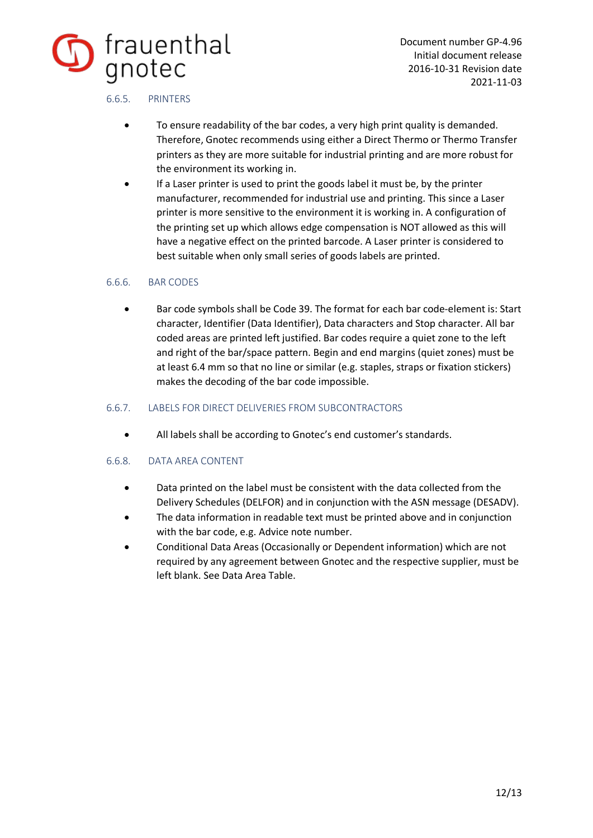

# 6.6.5. PRINTERS

- To ensure readability of the bar codes, a very high print quality is demanded. Therefore, Gnotec recommends using either a Direct Thermo or Thermo Transfer printers as they are more suitable for industrial printing and are more robust for the environment its working in.
- If a Laser printer is used to print the goods label it must be, by the printer manufacturer, recommended for industrial use and printing. This since a Laser printer is more sensitive to the environment it is working in. A configuration of the printing set up which allows edge compensation is NOT allowed as this will have a negative effect on the printed barcode. A Laser printer is considered to best suitable when only small series of goods labels are printed.

# 6.6.6. BAR CODES

· Bar code symbols shall be Code 39. The format for each bar code-element is: Start character, Identifier (Data Identifier), Data characters and Stop character. All bar coded areas are printed left justified. Bar codes require a quiet zone to the left and right of the bar/space pattern. Begin and end margins (quiet zones) must be at least 6.4 mm so that no line or similar (e.g. staples, straps or fixation stickers) makes the decoding of the bar code impossible.

# 6.6.7. LABELS FOR DIRECT DELIVERIES FROM SUBCONTRACTORS

· All labels shall be according to Gnotec's end customer's standards.

# 6.6.8. DATA AREA CONTENT

- · Data printed on the label must be consistent with the data collected from the Delivery Schedules (DELFOR) and in conjunction with the ASN message (DESADV).
- The data information in readable text must be printed above and in conjunction with the bar code, e.g. Advice note number.
- · Conditional Data Areas (Occasionally or Dependent information) which are not required by any agreement between Gnotec and the respective supplier, must be left blank. See Data Area Table.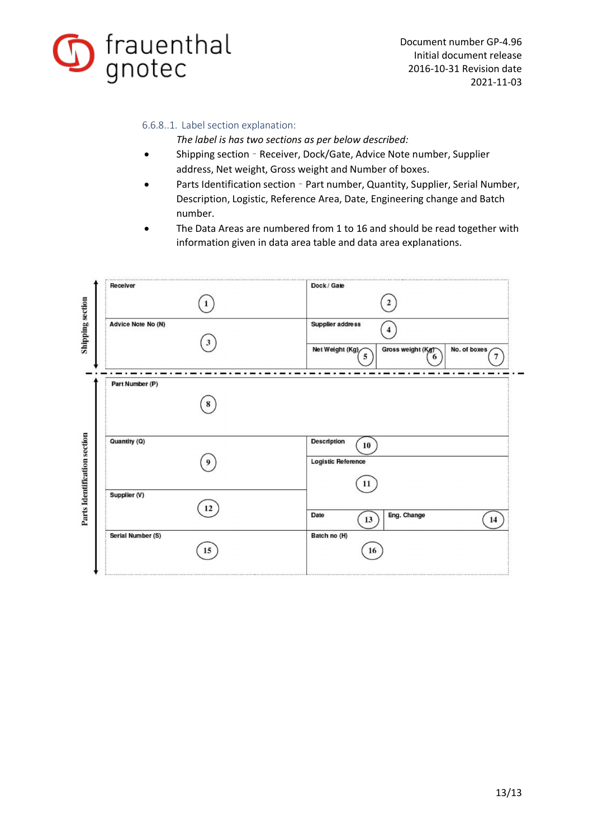

# 6.6.8..1. Label section explanation:

*The label is has two sections as per below described:* 

- Shipping section Receiver, Dock/Gate, Advice Note number, Supplier address, Net weight, Gross weight and Number of boxes.
- Parts Identification section Part number, Quantity, Supplier, Serial Number, Description, Logistic, Reference Area, Date, Engineering change and Batch number.
- The Data Areas are numbered from 1 to 16 and should be read together with information given in data area table and data area explanations.

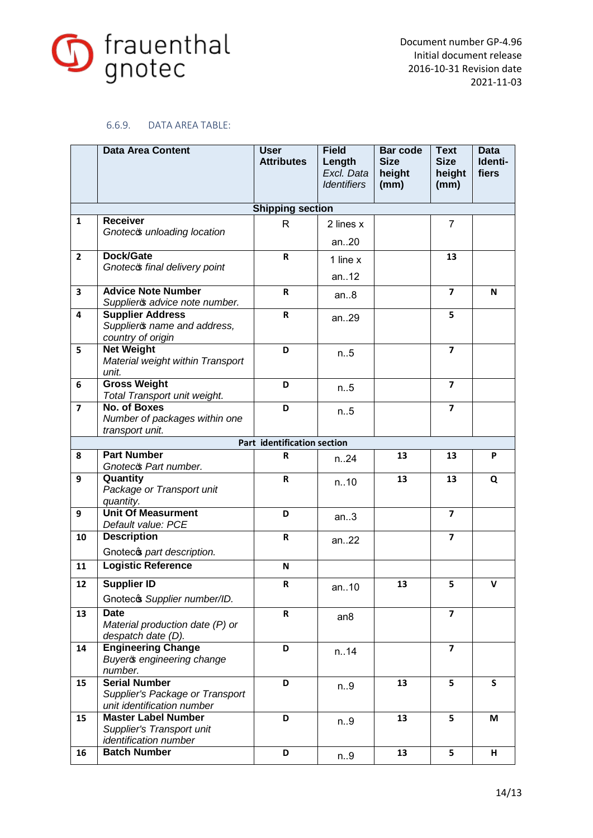

# 6.6.9. DATA AREA TABLE:

|                         | <b>Data Area Content</b>                                                              | <b>User</b><br><b>Attributes</b> | <b>Field</b><br>Length<br>Excl. Data<br><b>Identifiers</b> | <b>Bar code</b><br><b>Size</b><br>height<br>(mm) | <b>Text</b><br><b>Size</b><br>height<br>(mm) | <b>Data</b><br>Identi-<br>fiers |
|-------------------------|---------------------------------------------------------------------------------------|----------------------------------|------------------------------------------------------------|--------------------------------------------------|----------------------------------------------|---------------------------------|
|                         |                                                                                       | <b>Shipping section</b>          |                                                            |                                                  |                                              |                                 |
| $\mathbf{1}$            | <b>Receiver</b><br>Gnoteco unloading location                                         | $\mathsf{R}$                     | 2 lines x<br>an $.20$                                      |                                                  | $\overline{7}$                               |                                 |
| $\overline{2}$          | Dock/Gate<br>Gnoteco final delivery point                                             | R                                | 1 line x<br>an12                                           |                                                  | 13                                           |                                 |
| $\overline{\mathbf{3}}$ | <b>Advice Note Number</b><br>Supplieros advice note number.                           | R                                | an.8                                                       |                                                  | $\overline{\mathbf{z}}$                      | N                               |
| $\overline{\mathbf{4}}$ | <b>Supplier Address</b><br>Supplieros name and address,<br>country of origin          | $\overline{\mathsf{R}}$          | an29                                                       |                                                  | 5                                            |                                 |
| 5                       | <b>Net Weight</b><br>Material weight within Transport<br>unit.                        | D                                | n.5                                                        |                                                  | $\overline{\mathbf{z}}$                      |                                 |
| 6                       | <b>Gross Weight</b><br>Total Transport unit weight.                                   | D                                | n.5                                                        |                                                  | 7                                            |                                 |
| $\overline{7}$          | No. of Boxes<br>Number of packages within one<br>transport unit.                      | D                                | n.5                                                        |                                                  | $\overline{\mathbf{z}}$                      |                                 |
|                         |                                                                                       | Part identification section      |                                                            |                                                  |                                              |                                 |
| 8                       | <b>Part Number</b><br>Gnoteco Part number.                                            | R                                | n.24                                                       | 13                                               | 13                                           | P                               |
| 9                       | Quantity<br>Package or Transport unit<br>quantity.                                    | $\mathsf{R}$                     | n.10                                                       | 13                                               | 13                                           | Q                               |
| 9                       | <b>Unit Of Measurment</b><br>Default value: PCE                                       | D                                | an.3                                                       |                                                  | $\overline{7}$                               |                                 |
| 10                      | <b>Description</b><br>Gnotecs part description.                                       | $\mathsf R$                      | an22                                                       |                                                  | $\overline{7}$                               |                                 |
| 11                      | <b>Logistic Reference</b>                                                             | N                                |                                                            |                                                  |                                              |                                 |
| 12                      | <b>Supplier ID</b><br>Gnotecos Supplier number/ID.                                    | R                                | an10                                                       | 13                                               | 5                                            | $\mathsf{V}$                    |
| 13                      | <b>Date</b><br>Material production date (P) or<br>despatch date (D).                  | R                                | an <sub>8</sub>                                            |                                                  | 7                                            |                                 |
| 14                      | <b>Engineering Change</b><br>Buyer & engineering change<br>number.                    | D                                | n.14                                                       |                                                  | $\overline{\mathbf{z}}$                      |                                 |
| 15                      | <b>Serial Number</b><br>Supplier's Package or Transport<br>unit identification number | D                                | n.9                                                        | 13                                               | 5                                            | S                               |
| 15                      | <b>Master Label Number</b><br>Supplier's Transport unit<br>identification number      | D                                | n.9                                                        | 13                                               | 5                                            | M                               |
| 16                      | <b>Batch Number</b>                                                                   | D                                | n.9                                                        | 13                                               | 5                                            | н                               |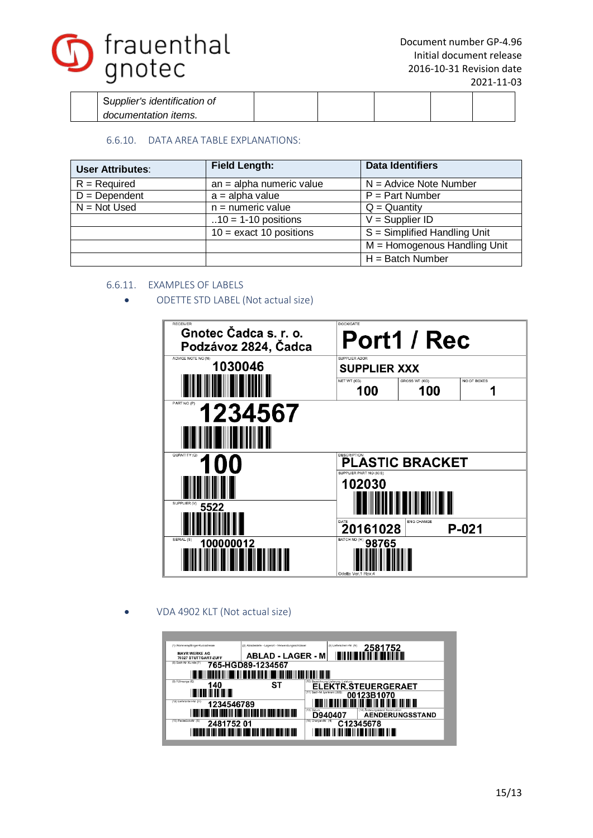

| Supplier's identification of |  |  |  |
|------------------------------|--|--|--|
| documentation items.         |  |  |  |

# 6.6.10. DATA AREA TABLE EXPLANATIONS:

| <b>User Attributes:</b> | <b>Field Length:</b>       | <b>Data Identifiers</b>        |
|-------------------------|----------------------------|--------------------------------|
| $R = Required$          | $an = alpha$ numeric value | $N =$ Advice Note Number       |
| $D = Dependent$         | $a = alpha value$          | $P = Part$ Number              |
| $N = Not Used$          | $n =$ numeric value        | $Q =$ Quantity                 |
|                         | $.10 = 1-10$ positions     | $V =$ Supplier ID              |
|                         | $10 =$ exact 10 positions  | $S =$ Simplified Handling Unit |
|                         |                            | $M =$ Homogenous Handling Unit |
|                         |                            | $H =$ Batch Number             |

# 6.6.11. EXAMPLES OF LABELS

· ODETTE STD LABEL (Not actual size)

| <b>RECEIVER</b><br>Gnotec Čadca s. r. o.<br>Podzávoz 2824, Čadca | <b>DOCK/GATE</b>                           | Port1 / Rec            |             |  |  |
|------------------------------------------------------------------|--------------------------------------------|------------------------|-------------|--|--|
| ADVICE NOTE NO (N)<br>1030046                                    | SUPPLIER ADDR<br><b>SUPPLIER XXX</b>       |                        |             |  |  |
|                                                                  | NET WT (KG)<br>100                         | GROSS WT (KG)<br>100   | NO OF BOXES |  |  |
| PART NO (P)<br>1234567                                           |                                            |                        |             |  |  |
|                                                                  |                                            |                        |             |  |  |
| QUANTITY (Q)<br>100                                              | DESCRIPTION<br>SUPPLIER PART NO (30S)      | <b>PLASTIC BRACKET</b> |             |  |  |
|                                                                  | 102030                                     |                        |             |  |  |
| SUPPLIER (V)<br>5522                                             |                                            |                        |             |  |  |
|                                                                  | DATE<br>20161028                           | <b>ENG CHANGE</b>      | $P-021$     |  |  |
| SERIAL (S)<br>100000012                                          | BATCH NO (H)<br>98765<br>Odette Ver.1 Rev. |                        |             |  |  |

· VDA 4902 KLT (Not actual size)

| (1) Warenempfänger-Kurzadresse               | (2) Abladestelle - Lagerort - Verwendungsschlüssel                                                       |                               | (3) Lieferschein-Nr. (N) | 2581752                                                                                                               |                        |
|----------------------------------------------|----------------------------------------------------------------------------------------------------------|-------------------------------|--------------------------|-----------------------------------------------------------------------------------------------------------------------|------------------------|
| <b>MAYR WERKE AG</b><br>70327 STUTTGART-ZUFF | <b>ABLAD - LAGER - M</b>                                                                                 |                               |                          | בבן זמן קווה ובשו והווידות ומות שווידות ומושון                                                                        |                        |
| (8) Sach-Nr. Kunde (P)                       | 765-HGD89-1234567                                                                                        |                               |                          |                                                                                                                       |                        |
|                                              | ות והיו זות הוויד החול זות התנועה היו דישון והיו הרמו היה יחדש וזה ומשירות היו הרמו היה היה היו השווים ו |                               |                          |                                                                                                                       |                        |
| (9) Füllmenge (Q)<br>140                     | SТ                                                                                                       | <b>ELEKTR.STEUERGERAET</b>    |                          |                                                                                                                       |                        |
| <u> Elit III ili ili ili ili ili </u>        |                                                                                                          | (11) Sach-Nr. Lieferant (30S) |                          | 00123B1070                                                                                                            |                        |
| (12) Lieferanten-Nr. (V)<br>1234546789       |                                                                                                          |                               |                          | <u> HII DI HENRI HII DI HII DI HII DI HII DI HII DI HII DI HII DI HII DI HII DI HII DI HII DI HII DI HII DI HII D</u> |                        |
|                                              |                                                                                                          | (13) Datum<br>D940407         |                          | (14) Anderung sstand Konstruktion                                                                                     | <b>AENDERUNGSSTAND</b> |
| (15) Packstick-Nr. (S)<br>248175201          |                                                                                                          | (16) Chargen-Nr. (H)          | C12345678                |                                                                                                                       |                        |
|                                              | תחו ומון ומוס וותום ומון מון הוות וסיבו ומון ומון מכוח ומון הוו מון מון מון                              |                               |                          |                                                                                                                       |                        |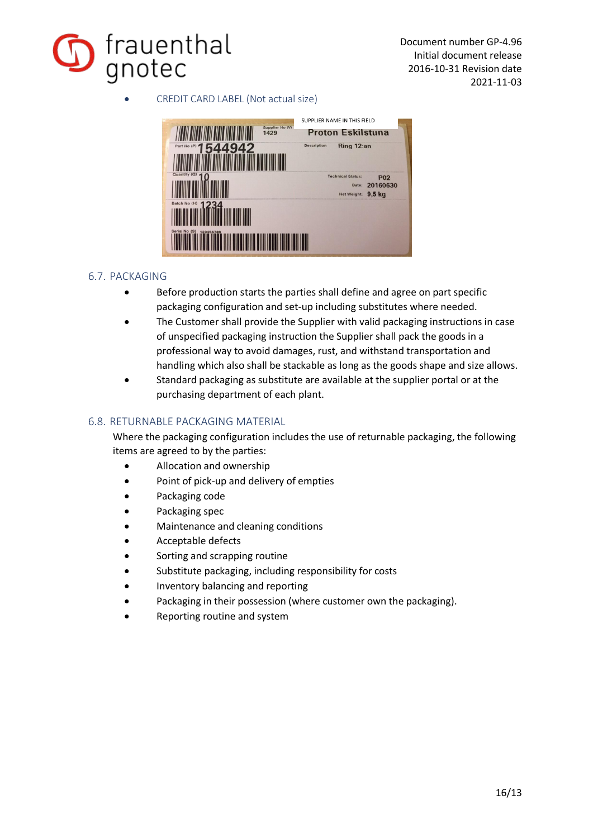

· CREDIT CARD LABEL (Not actual size)



# 6.7. PACKAGING

- · Before production starts the parties shall define and agree on part specific packaging configuration and set-up including substitutes where needed.
- The Customer shall provide the Supplier with valid packaging instructions in case of unspecified packaging instruction the Supplier shall pack the goods in a professional way to avoid damages, rust, and withstand transportation and handling which also shall be stackable as long as the goods shape and size allows.
- Standard packaging as substitute are available at the supplier portal or at the purchasing department of each plant.

# 6.8. RETURNABLE PACKAGING MATERIAL

Where the packaging configuration includes the use of returnable packaging, the following items are agreed to by the parties:

- · Allocation and ownership
- Point of pick-up and delivery of empties
- · Packaging code
- Packaging spec
- Maintenance and cleaning conditions
- Acceptable defects
- Sorting and scrapping routine
- Substitute packaging, including responsibility for costs
- · Inventory balancing and reporting
- Packaging in their possession (where customer own the packaging).
- Reporting routine and system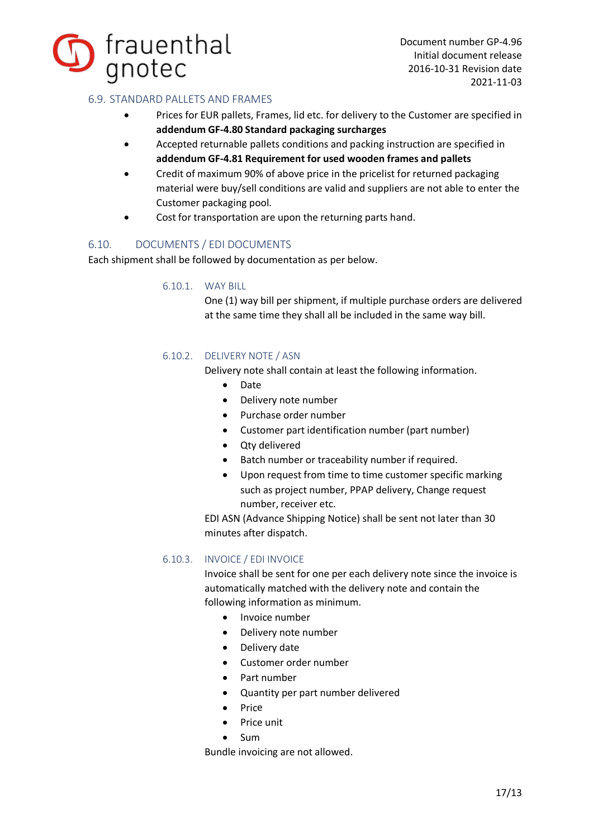

# 6.9. STANDARD PALLETS AND FRAMES

- · Prices for EUR pallets, Frames, lid etc. for delivery to the Customer are specified in **addendum GF-4.80 Standard packaging surcharges**
- · Accepted returnable pallets conditions and packing instruction are specified in **addendum GF-4.81 Requirement for used wooden frames and pallets**
- · Credit of maximum 90% of above price in the pricelist for returned packaging material were buy/sell conditions are valid and suppliers are not able to enter the Customer packaging pool.
- · Cost for transportation are upon the returning parts hand.

# 6.10. DOCUMENTS / EDI DOCUMENTS

Each shipment shall be followed by documentation as per below.

#### 6.10.1. WAY BILL

One (1) way bill per shipment, if multiple purchase orders are delivered at the same time they shall all be included in the same way bill.

# 6.10.2. DELIVERY NOTE / ASN

Delivery note shall contain at least the following information.

- · Date
- · Delivery note number
- · Purchase order number
- · Customer part identification number (part number)
- · Qty delivered
- · Batch number or traceability number if required.
- · Upon request from time to time customer specific marking such as project number, PPAP delivery, Change request number, receiver etc.

EDI ASN (Advance Shipping Notice) shall be sent not later than 30 minutes after dispatch.

# 6.10.3. INVOICE / EDI INVOICE

Invoice shall be sent for one per each delivery note since the invoice is automatically matched with the delivery note and contain the following information as minimum.

- · Invoice number
- · Delivery note number
- · Delivery date
- · Customer order number
- · Part number
- Quantity per part number delivered
- · Price
- · Price unit
- · Sum

Bundle invoicing are not allowed.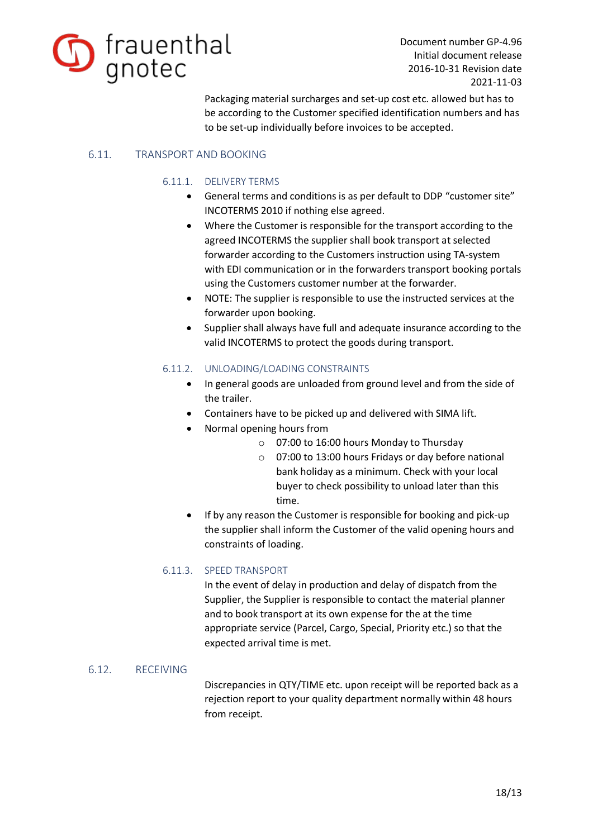

Packaging material surcharges and set-up cost etc. allowed but has to be according to the Customer specified identification numbers and has to be set-up individually before invoices to be accepted.

# 6.11. TRANSPORT AND BOOKING

# 6.11.1. DELIVERY TERMS

- · General terms and conditions is as per default to DDP "customer site" INCOTERMS 2010 if nothing else agreed.
- Where the Customer is responsible for the transport according to the agreed INCOTERMS the supplier shall book transport at selected forwarder according to the Customers instruction using TA-system with EDI communication or in the forwarders transport booking portals using the Customers customer number at the forwarder.
- · NOTE: The supplier is responsible to use the instructed services at the forwarder upon booking.
- · Supplier shall always have full and adequate insurance according to the valid INCOTERMS to protect the goods during transport.

# 6.11.2. UNLOADING/LOADING CONSTRAINTS

- · In general goods are unloaded from ground level and from the side of the trailer.
- Containers have to be picked up and delivered with SIMA lift.
- · Normal opening hours from
	- o 07:00 to 16:00 hours Monday to Thursday
	- o 07:00 to 13:00 hours Fridays or day before national bank holiday as a minimum. Check with your local buyer to check possibility to unload later than this time.
- If by any reason the Customer is responsible for booking and pick-up the supplier shall inform the Customer of the valid opening hours and constraints of loading.

# 6.11.3. SPEED TRANSPORT

In the event of delay in production and delay of dispatch from the Supplier, the Supplier is responsible to contact the material planner and to book transport at its own expense for the at the time appropriate service (Parcel, Cargo, Special, Priority etc.) so that the expected arrival time is met.

# 6.12. RECEIVING

Discrepancies in QTY/TIME etc. upon receipt will be reported back as a rejection report to your quality department normally within 48 hours from receipt.